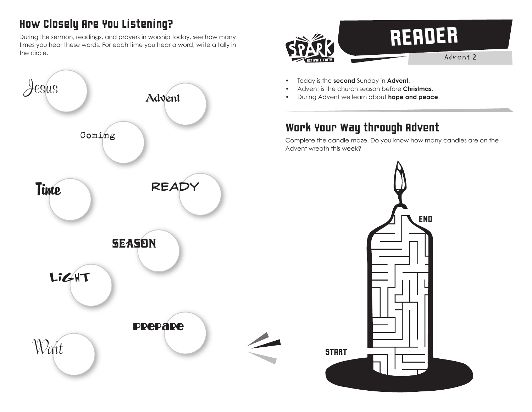## How Closely Are You Listening?

During the sermon, readings, and prayers in worship today, see how many times you hear these words. For each time you hear a word, write a tally in the circle.





- Today is the **second** Sunday in **Advent**.
- Advent is the church season before **Christmas**.
- During Advent we learn about **hope and peace**.

## Work Your Way through Advent

Complete the candle maze. Do you know how many candles are on the Advent wreath this week?